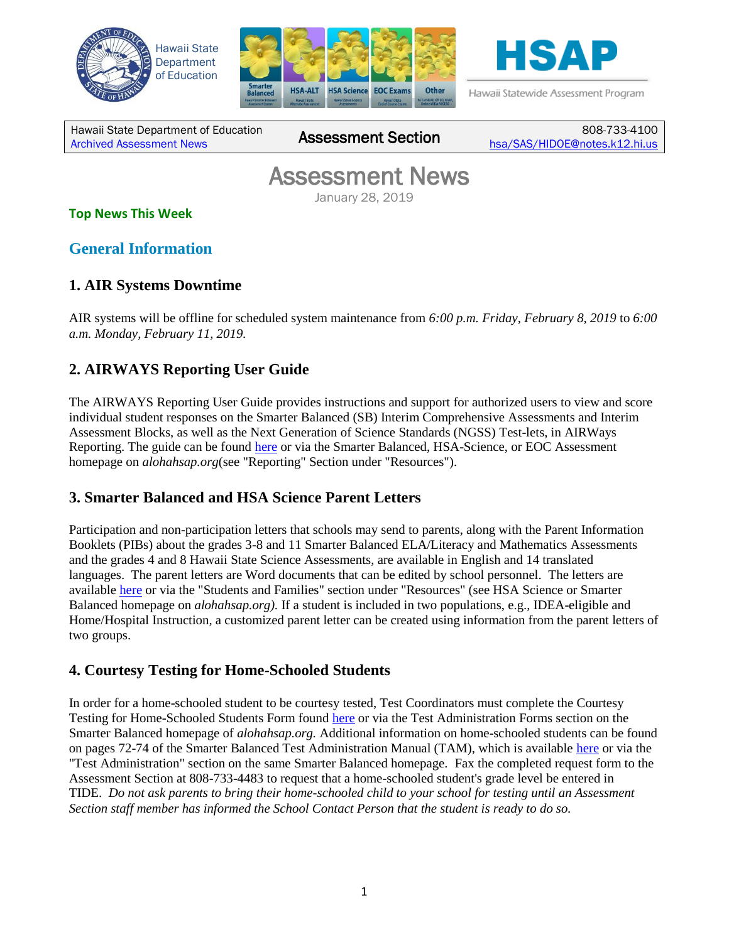





Hawaii Statewide Assessment Program

Hawaii State Department of Education Hawall State Department of Equitation **Assessment Section** 

808-733-4100 [hsa/SAS/HIDOE@notes.k12.hi.us](mailto:hsa/SAS/HIDOE@notes.k12.hi.us)

# Assessment News January 28, 2019

#### **Top News This Week**

**General Information**

### **1. AIR Systems Downtime**

AIR systems will be offline for scheduled system maintenance from *6:00 p.m. Friday, February 8, 2019* to *6:00 a.m. Monday, February 11, 2019.*

# **2. AIRWAYS Reporting User Guide**

The AIRWAYS Reporting User Guide provides instructions and support for authorized users to view and score individual student responses on the Smarter Balanced (SB) Interim Comprehensive Assessments and Interim Assessment Blocks, as well as the Next Generation of Science Standards (NGSS) Test-lets, in AIRWays Reporting. The guide can be found [here](https://smarterbalanced.alohahsap.org/core/fileparse.php/3410/urlt/AIRWays_ProductGuide_2018-2019.pdf) or via the Smarter Balanced, HSA-Science, or EOC Assessment homepage on *alohahsap.org*(see "Reporting" Section under "Resources").

# **3. Smarter Balanced and HSA Science Parent Letters**

Participation and non-participation letters that schools may send to parents, along with the Parent Information Booklets (PIBs) about the grades 3-8 and 11 Smarter Balanced ELA/Literacy and Mathematics Assessments and the grades 4 and 8 Hawaii State Science Assessments, are available in English and 14 translated languages. The parent letters are Word documents that can be edited by school personnel. The letters are available [here](https://hsa.alohahsap.org/parent-letters.stml) or via the "Students and Families" section under "Resources" (see HSA Science or Smarter Balanced homepage on *alohahsap.org).* If a student is included in two populations, e.g., IDEA-eligible and Home/Hospital Instruction, a customized parent letter can be created using information from the parent letters of two groups.

### **4. Courtesy Testing for Home-Schooled Students**

In order for a home-schooled student to be courtesy tested, Test Coordinators must complete the Courtesy Testing for Home-Schooled Students Form found [here](https://smarterbalanced.alohahsap.org/test-administration-forms.stml) or via the Test Administration Forms section on the Smarter Balanced homepage of *alohahsap.org.* Additional information on home-schooled students can be found on pages 72-74 of the Smarter Balanced Test Administration Manual (TAM), which is available [here](https://smarterbalanced.alohahsap.org/core/fileparse.php/3410/urlt/Smarter-Balanced-Summative-TAM_2018-2019.pdf) or via the "Test Administration" section on the same Smarter Balanced homepage. Fax the completed request form to the Assessment Section at 808-733-4483 to request that a home-schooled student's grade level be entered in TIDE. *Do not ask parents to bring their home-schooled child to your school for testing until an Assessment Section staff member has informed the School Contact Person that the student is ready to do so.*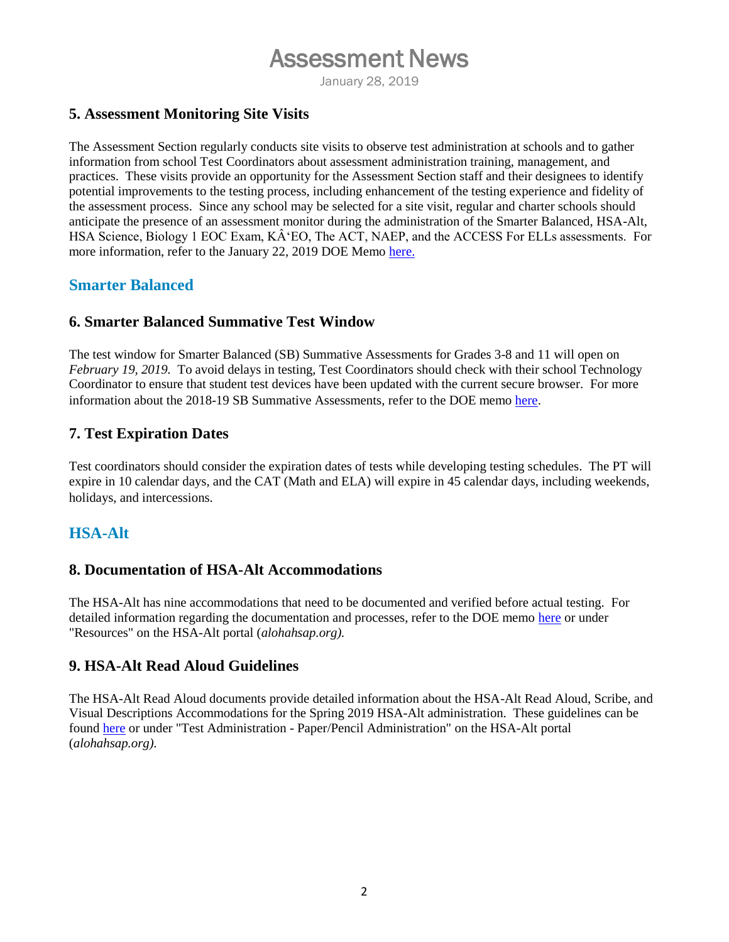# Assessment News

January 28, 2019

### **5. Assessment Monitoring Site Visits**

The Assessment Section regularly conducts site visits to observe test administration at schools and to gather information from school Test Coordinators about assessment administration training, management, and practices. These visits provide an opportunity for the Assessment Section staff and their designees to identify potential improvements to the testing process, including enhancement of the testing experience and fidelity of the assessment process. Since any school may be selected for a site visit, regular and charter schools should anticipate the presence of an assessment monitor during the administration of the Smarter Balanced, HSA-Alt, HSA Science, Biology 1 EOC Exam, KÂʻEO, The ACT, NAEP, and the ACCESS For ELLs assessments. For more information, refer to the January 22, 2019 DOE Memo [here.](https://smarterbalanced.alohahsap.org/core/fileparse.php/3410/urlt/Memo-Jan-22-2019-Assessment-Monitoring-Site-Visits.pdf)

### **Smarter Balanced**

### **6. Smarter Balanced Summative Test Window**

The test window for Smarter Balanced (SB) Summative Assessments for Grades 3-8 and 11 will open on *February 19, 2019.* To avoid delays in testing, Test Coordinators should check with their school Technology Coordinator to ensure that student test devices have been updated with the current secure browser. For more information about the 2018-19 SB Summative Assessments, refer to the DOE memo [here.](https://smarterbalanced.alohahsap.org/core/fileparse.php/3410/urlt/SY2018-2019-HSAP-memo.pdf)

### **7. Test Expiration Dates**

Test coordinators should consider the expiration dates of tests while developing testing schedules. The PT will expire in 10 calendar days, and the CAT (Math and ELA) will expire in 45 calendar days, including weekends, holidays, and intercessions.

### **HSA-Alt**

### **8. Documentation of HSA-Alt Accommodations**

The HSA-Alt has nine accommodations that need to be documented and verified before actual testing. For detailed information regarding the documentation and processes, refer to the DOE memo [here](https://hsa-alt.alohahsap.org/core/fileparse.php/3344/urlt/Memo_Documentation-of-HSA-Alt-Accommodations.pdf) or under "Resources" on the HSA-Alt portal (*alohahsap.org).*

### **9. HSA-Alt Read Aloud Guidelines**

The HSA-Alt Read Aloud documents provide detailed information about the HSA-Alt Read Aloud, Scribe, and Visual Descriptions Accommodations for the Spring 2019 HSA-Alt administration. These guidelines can be found [here](https://hsa-alt.alohahsap.org/resources/paper-pencil-administration-ta/) or under "Test Administration - Paper/Pencil Administration" on the HSA-Alt portal (*alohahsap.org).*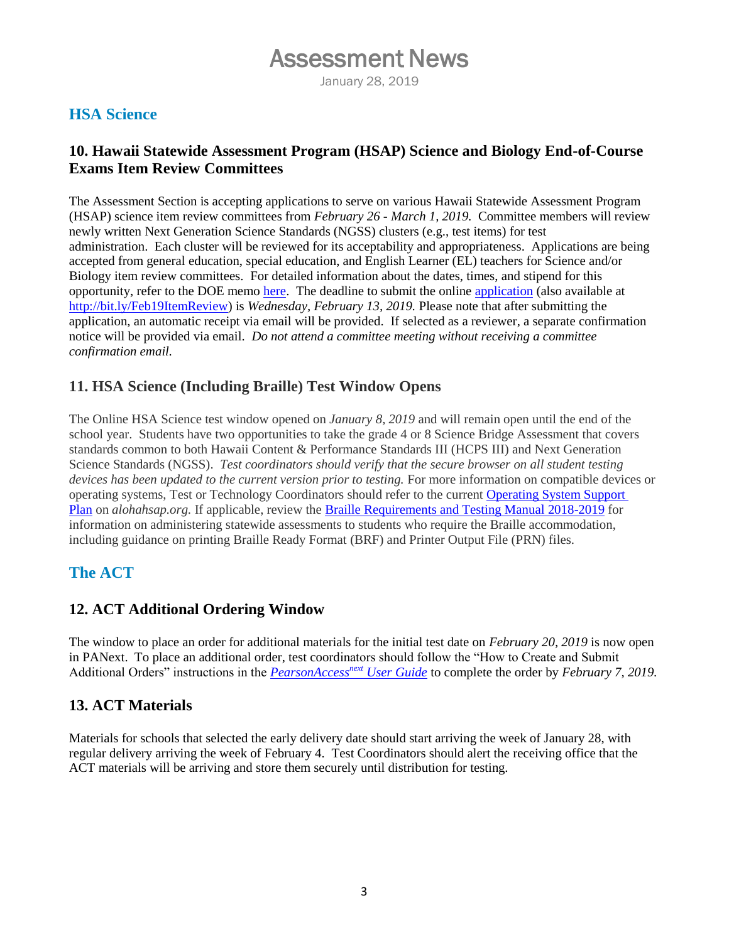# Assessment News

January 28, 2019

## **HSA Science**

### **10. Hawaii Statewide Assessment Program (HSAP) Science and Biology End-of-Course Exams Item Review Committees**

The Assessment Section is accepting applications to serve on various Hawaii Statewide Assessment Program (HSAP) science item review committees from *February 26 - March 1, 2019.* Committee members will review newly written Next Generation Science Standards (NGSS) clusters (e.g., test items) for test administration. Each cluster will be reviewed for its acceptability and appropriateness. Applications are being accepted from general education, special education, and English Learner (EL) teachers for Science and/or Biology item review committees. For detailed information about the dates, times, and stipend for this opportunity, refer to the DOE memo [here.](https://hsa.alohahsap.org/core/fileparse.php/3388/urlt/Memo_Accepting-Applications-for-HSAP-Science-Biology-Item-Review-Committees.pdf) The deadline to submit the online [application](http://bit.ly/Feb19ItemReview) (also available at [http://bit.ly/Feb19ItemReview\)](http://bit.ly/Feb19ItemReview) is *Wednesday, February 13, 2019.* Please note that after submitting the application, an automatic receipt via email will be provided. If selected as a reviewer, a separate confirmation notice will be provided via email. *Do not attend a committee meeting without receiving a committee confirmation email.* 

### **11. HSA Science (Including Braille) Test Window Opens**

The Online HSA Science test window opened on *January 8, 2019* and will remain open until the end of the school year. Students have two opportunities to take the grade 4 or 8 Science Bridge Assessment that covers standards common to both Hawaii Content & Performance Standards III (HCPS III) and Next Generation Science Standards (NGSS). *Test coordinators should verify that the secure browser on all student testing devices has been updated to the current version prior to testing.* For more information on compatible devices or operating systems, Test or Technology Coordinators should refer to the current [Operating System Support](https://smarterbalanced.alohahsap.org/resources/technology/)  [Plan](https://smarterbalanced.alohahsap.org/resources/technology/) on *alohahsap.org.* If applicable, review the [Braille Requirements and Testing Manual 2018-2019](https://smarterbalanced.alohahsap.org/core/fileparse.php/3410/urlt/Braille-Testing-Manual-2018-2019.pdf) for information on administering statewide assessments to students who require the Braille accommodation, including guidance on printing Braille Ready Format (BRF) and Printer Output File (PRN) files.

### **The ACT**

### **12. ACT Additional Ordering Window**

The window to place an order for additional materials for the initial test date on *February 20, 2019* is now open in PANext. To place an additional order, test coordinators should follow the "How to Create and Submit Additional Orders" instructions in the *[PearsonAccess](http://www.act.org/content/act/en/products-and-services/state-and-district-solutions/hawaii/the-act.html)next User Guide* to complete the order by *February 7, 2019.*

### **13. ACT Materials**

Materials for schools that selected the early delivery date should start arriving the week of January 28, with regular delivery arriving the week of February 4. Test Coordinators should alert the receiving office that the ACT materials will be arriving and store them securely until distribution for testing.